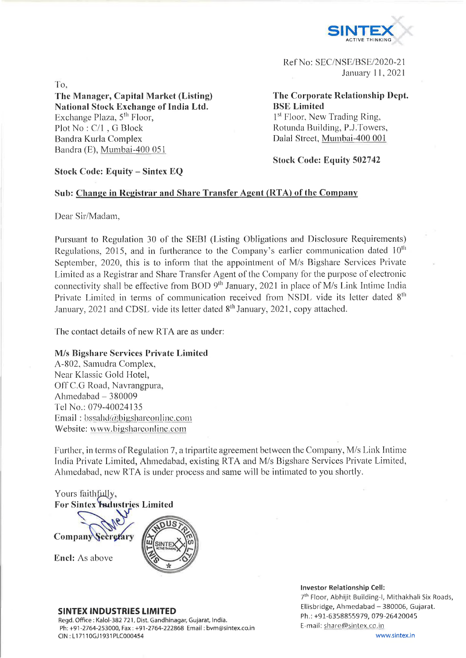

Ref No: SEC/NSE/BSE/2020-21 January 11, 2021

To,

**The Manager, Capital Market (Listing) National Stock Exchange of India Ltd.** Exchange Plaza, 5<sup>th</sup> Floor, Plot No : C/l , G Block Bandra Kurla Complex Bandra (E), Mumbai-400 051

**The Corporate Relationship Dept. BSE Limited** 1<sup>st</sup> Floor, New Trading Ring, Rotunda Building, P.J.Towers, Dalai Street, Mumbai-400 001

**Stock Code: Equity 502742**

## **Stock Code: Equity - Sintex EQ**

### **Sub: Change in Registrar and Share Transfer Agent (RTA) of the Company**

Dear Sir/Madam,

Pursuant to Regulation 30 of the SEBI (Listing Obligations and Disclosure Requirements) Regulations, 2015, and in furtherance to the Company's earlier communication dated  $10<sup>th</sup>$ September, 2020, this is to inform that the appointment of M/s Bigshare Services Private Limited as a Registrar and Share Transfer Agent of the Company for the purpose of electronic connectivity shall be effective from BOD  $9^{th}$  January, 2021 in place of M/s Link Intime India Private Limited in terms of communication received from NSDL vide its letter dated 8<sup>th</sup> January, 2021 and CDSL vide its letter dated  $8<sup>th</sup>$  January, 2021, copy attached.

The contact details of new RTA are as under:

# **M/s Bigshare Services Private Limited**

A-802, Samudra Complex, Near Klassic Gold Hotel, Off C.G Road, Navrangpura, Ahmedabad  $-380009$ Tel No.: 079-40024135 Email: bssahd@bigshareonline.com Website: [www.bigsharconlinc.com](http://www.bigsharconlinc.com)

Further, in terms of Regulation 7, a tripartite agreement between the Company, M/s Link Intime India Private Limited, Ahmedabad, existing RTA and M/s Bigshare Services Private Limited, Ahmedabad, new RTA is under process and same will be intimated to you shortly.

Yours faithfully, **For Sintex Industries Limited** Company

Encl: As above



### **SINTEX INDUSTRIES LIMITED**

Regd. Office : Kalol-382 721, Dist. Gandhinagar, Gujarat, India. Ph: +91-2764-253000, Fax: +91-2764-222868 Email: [bvm@sintex.co.in](mailto:bvm@sintex.co.in) CIN : LI 7110GJ1931PLC000454

#### **Investor Relationship Cell:** 7<sup>th</sup> Floor, Abhijit Building-I, Mithakhali Six Roads, Ellisbridge, Ahmedabad - 380006, Gujarat. Ph.: +91-6358855979, 079-26420045 E-mail: share@sintex.co.in

[www.sintex.in](http://www.sintex.in)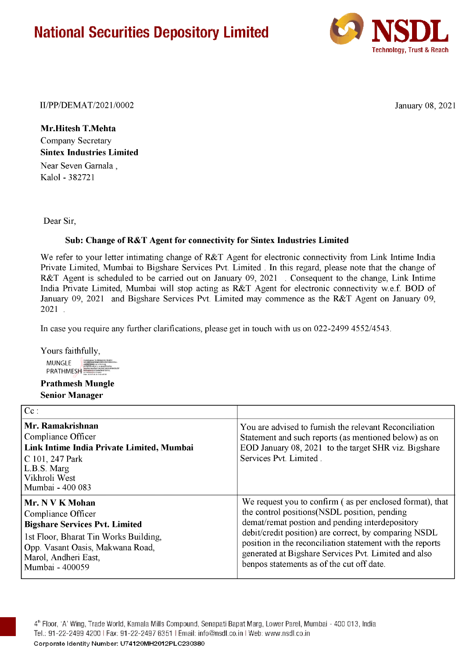# **National Securities Depository Limited**



II/PP/DEMAT/2021/0002 January 08, 2021

**Mr.Hitesh T.Mehta** Company Secretary **Sintex Industries Limited** Near Seven Garnala , Kalol - 382721

Dear Sir,

## **Sub: Change of R&T Agent for connectivity for Sintex Industries Limited**

We refer to your letter intimating change of R&T Agent for electronic connectivity from Link Intime India Private Limited, Mumbai to Bigshare Services Pvt. Limited . In this regard, please note that the change of R&T Agent is scheduled to be carried out on January 09, 2021 . Consequent to the change, Link Intime India Private Limited, Mumbai will stop acting as R&T Agent for electronic connectivity w.e.f. BOD of January 09, 2021 and Bigshare Services Pvt. Limited may commence as the R&T Agent on January 09, 2021 .

In case you require any further clarifications, please get in touch with us on 022-2499 4552/4543.

Yours faithfully,

**MUNGLE PRATHMESH** 

**Prathmesh Mungle Senior Manager**

| $\mathbf{C}$ :                                                                                                                                                                                         |                                                                                                                                                                                                                                                                                                                                                                                         |
|--------------------------------------------------------------------------------------------------------------------------------------------------------------------------------------------------------|-----------------------------------------------------------------------------------------------------------------------------------------------------------------------------------------------------------------------------------------------------------------------------------------------------------------------------------------------------------------------------------------|
| Mr. Ramakrishnan<br>Compliance Officer<br>Link Intime India Private Limited, Mumbai<br>C 101, 247 Park<br>L.B.S. Marg<br>Vikhroli West<br>Mumbai - 400 083                                             | You are advised to furnish the relevant Reconciliation<br>Statement and such reports (as mentioned below) as on<br>EOD January 08, 2021 to the target SHR viz. Bigshare<br>Services Pvt. Limited.                                                                                                                                                                                       |
| Mr. N V K Mohan<br>Compliance Officer<br><b>Bigshare Services Pvt. Limited</b><br>1st Floor, Bharat Tin Works Building,<br>Opp. Vasant Oasis, Makwana Road,<br>Marol, Andheri East,<br>Mumbai - 400059 | We request you to confirm (as per enclosed format), that<br>the control positions (NSDL position, pending<br>demat/remat postion and pending interdepository<br>debit/credit position) are correct, by comparing NSDL<br>position in the reconciliation statement with the reports<br>generated at Bigshare Services Pvt. Limited and also<br>benpos statements as of the cut off date. |